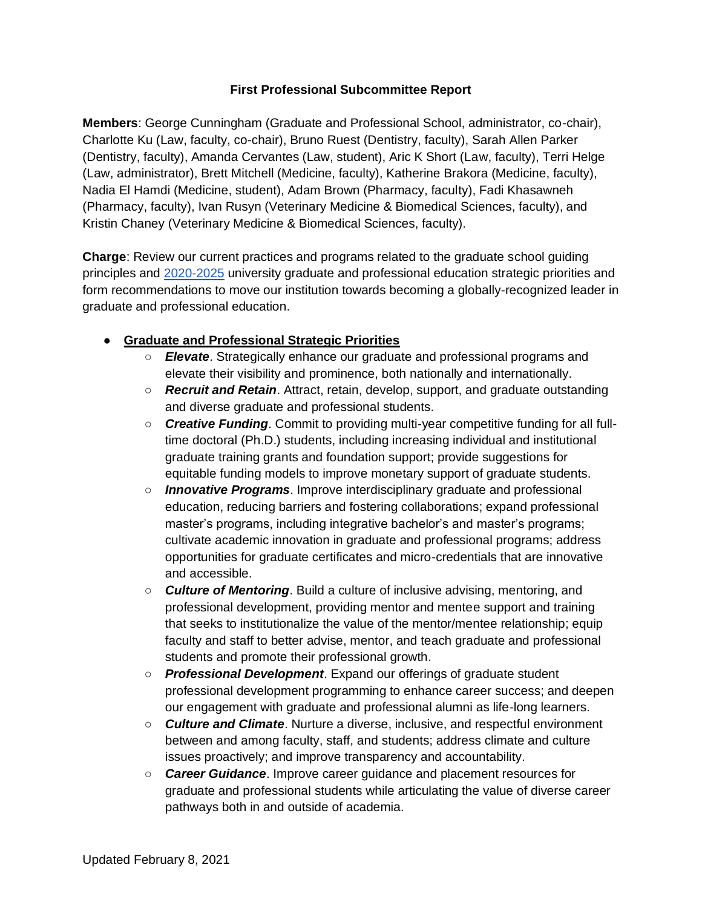### **First Professional Subcommittee Report**

**Members**: George Cunningham (Graduate and Professional School, administrator, co-chair), Charlotte Ku (Law, faculty, co-chair), Bruno Ruest (Dentistry, faculty), Sarah Allen Parker (Dentistry, faculty), Amanda Cervantes (Law, student), Aric K Short (Law, faculty), Terri Helge (Law, administrator), Brett Mitchell (Medicine, faculty), Katherine Brakora (Medicine, faculty), Nadia El Hamdi (Medicine, student), Adam Brown (Pharmacy, faculty), Fadi Khasawneh (Pharmacy, faculty), Ivan Rusyn (Veterinary Medicine & Biomedical Sciences, faculty), and Kristin Chaney (Veterinary Medicine & Biomedical Sciences, faculty).

**Charge**: Review our current practices and programs related to the graduate school guiding principles and [2020-2025](https://provost.tamu.edu/Provost_v19/media/Media/Assets/pdfs-strategicplan/StrategicPlan2020-2025.pdf) university graduate and professional education strategic priorities and form recommendations to move our institution towards becoming a globally-recognized leader in graduate and professional education.

- **Graduate and Professional Strategic Priorities**
	- *Elevate*. Strategically enhance our graduate and professional programs and elevate their visibility and prominence, both nationally and internationally.
	- *Recruit and Retain*. Attract, retain, develop, support, and graduate outstanding and diverse graduate and professional students.
	- *Creative Funding*. Commit to providing multi-year competitive funding for all fulltime doctoral (Ph.D.) students, including increasing individual and institutional graduate training grants and foundation support; provide suggestions for equitable funding models to improve monetary support of graduate students.
	- *Innovative Programs*. Improve interdisciplinary graduate and professional education, reducing barriers and fostering collaborations; expand professional master's programs, including integrative bachelor's and master's programs; cultivate academic innovation in graduate and professional programs; address opportunities for graduate certificates and micro-credentials that are innovative and accessible.
	- *Culture of Mentoring*. Build a culture of inclusive advising, mentoring, and professional development, providing mentor and mentee support and training that seeks to institutionalize the value of the mentor/mentee relationship; equip faculty and staff to better advise, mentor, and teach graduate and professional students and promote their professional growth.
	- *Professional Development*. Expand our offerings of graduate student professional development programming to enhance career success; and deepen our engagement with graduate and professional alumni as life-long learners.
	- *Culture and Climate*. Nurture a diverse, inclusive, and respectful environment between and among faculty, staff, and students; address climate and culture issues proactively; and improve transparency and accountability.
	- *Career Guidance*. Improve career guidance and placement resources for graduate and professional students while articulating the value of diverse career pathways both in and outside of academia.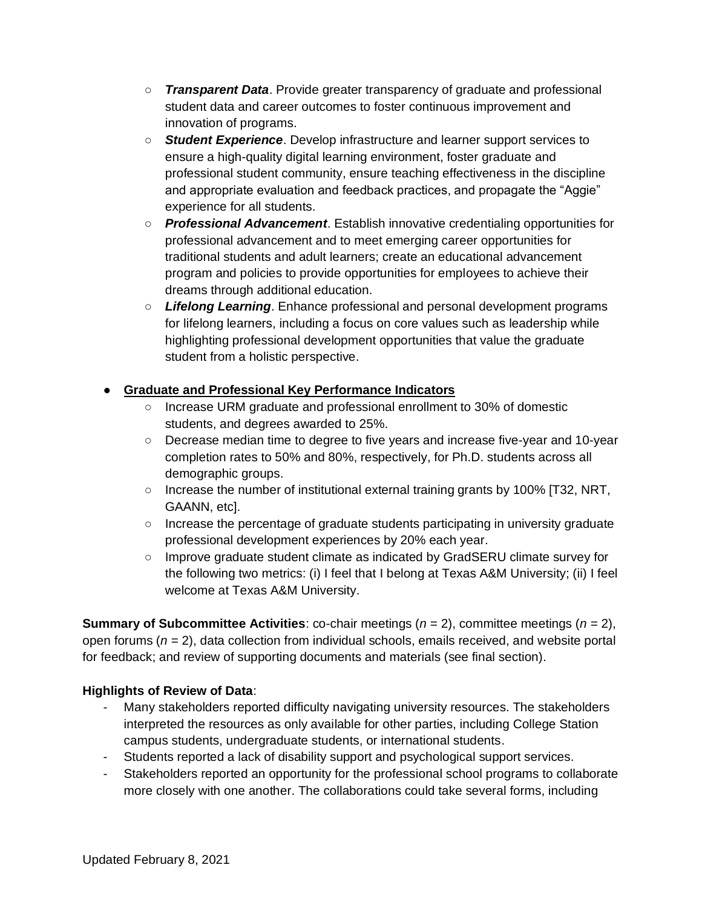- *Transparent Data*. Provide greater transparency of graduate and professional student data and career outcomes to foster continuous improvement and innovation of programs.
- *Student Experience*. Develop infrastructure and learner support services to ensure a high-quality digital learning environment, foster graduate and professional student community, ensure teaching effectiveness in the discipline and appropriate evaluation and feedback practices, and propagate the "Aggie" experience for all students.
- *Professional Advancement*. Establish innovative credentialing opportunities for professional advancement and to meet emerging career opportunities for traditional students and adult learners; create an educational advancement program and policies to provide opportunities for employees to achieve their dreams through additional education.
- *Lifelong Learning*. Enhance professional and personal development programs for lifelong learners, including a focus on core values such as leadership while highlighting professional development opportunities that value the graduate student from a holistic perspective.

# **Graduate and Professional Key Performance Indicators**

- Increase URM graduate and professional enrollment to 30% of domestic students, and degrees awarded to 25%.
- Decrease median time to degree to five years and increase five-year and 10-year completion rates to 50% and 80%, respectively, for Ph.D. students across all demographic groups.
- Increase the number of institutional external training grants by 100% [T32, NRT, GAANN, etc].
- Increase the percentage of graduate students participating in university graduate professional development experiences by 20% each year.
- Improve graduate student climate as indicated by GradSERU climate survey for the following two metrics: (i) I feel that I belong at Texas A&M University; (ii) I feel welcome at Texas A&M University.

**Summary of Subcommittee Activities**: co-chair meetings (*n* = 2), committee meetings (*n* = 2), open forums (*n* = 2), data collection from individual schools, emails received, and website portal for feedback; and review of supporting documents and materials (see final section).

# **Highlights of Review of Data**:

- Many stakeholders reported difficulty navigating university resources. The stakeholders interpreted the resources as only available for other parties, including College Station campus students, undergraduate students, or international students.
- Students reported a lack of disability support and psychological support services.
- Stakeholders reported an opportunity for the professional school programs to collaborate more closely with one another. The collaborations could take several forms, including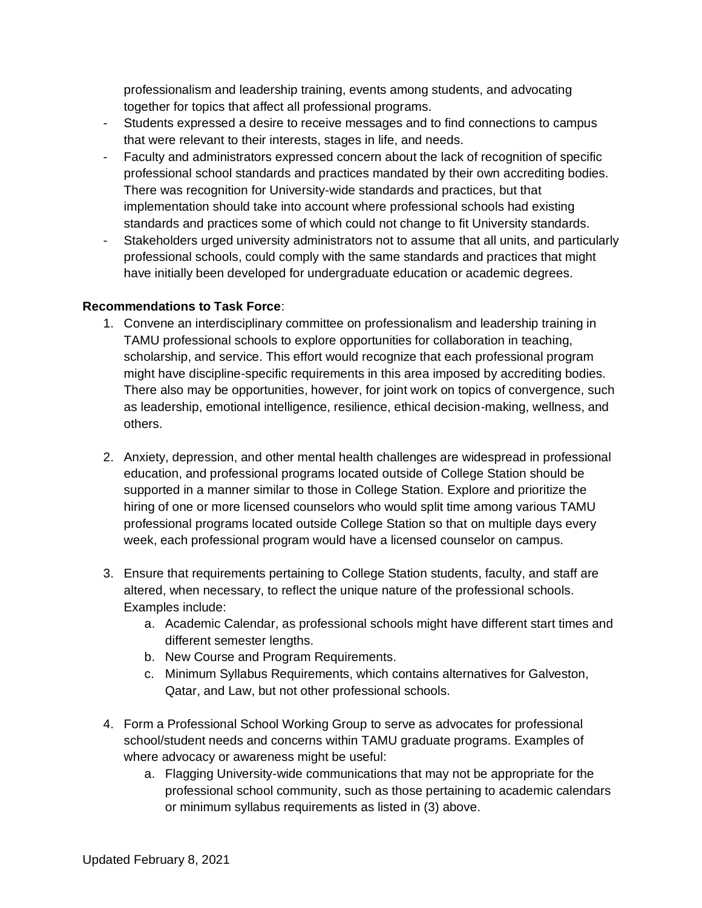professionalism and leadership training, events among students, and advocating together for topics that affect all professional programs.

- Students expressed a desire to receive messages and to find connections to campus that were relevant to their interests, stages in life, and needs.
- Faculty and administrators expressed concern about the lack of recognition of specific professional school standards and practices mandated by their own accrediting bodies. There was recognition for University-wide standards and practices, but that implementation should take into account where professional schools had existing standards and practices some of which could not change to fit University standards.
- Stakeholders urged university administrators not to assume that all units, and particularly professional schools, could comply with the same standards and practices that might have initially been developed for undergraduate education or academic degrees.

#### **Recommendations to Task Force**:

- 1. Convene an interdisciplinary committee on professionalism and leadership training in TAMU professional schools to explore opportunities for collaboration in teaching, scholarship, and service. This effort would recognize that each professional program might have discipline-specific requirements in this area imposed by accrediting bodies. There also may be opportunities, however, for joint work on topics of convergence, such as leadership, emotional intelligence, resilience, ethical decision-making, wellness, and others.
- 2. Anxiety, depression, and other mental health challenges are widespread in professional education, and professional programs located outside of College Station should be supported in a manner similar to those in College Station. Explore and prioritize the hiring of one or more licensed counselors who would split time among various TAMU professional programs located outside College Station so that on multiple days every week, each professional program would have a licensed counselor on campus.
- 3. Ensure that requirements pertaining to College Station students, faculty, and staff are altered, when necessary, to reflect the unique nature of the professional schools. Examples include:
	- a. Academic Calendar, as professional schools might have different start times and different semester lengths.
	- b. New Course and Program Requirements.
	- c. Minimum Syllabus Requirements, which contains alternatives for Galveston, Qatar, and Law, but not other professional schools.
- 4. Form a Professional School Working Group to serve as advocates for professional school/student needs and concerns within TAMU graduate programs. Examples of where advocacy or awareness might be useful:
	- a. Flagging University-wide communications that may not be appropriate for the professional school community, such as those pertaining to academic calendars or minimum syllabus requirements as listed in (3) above.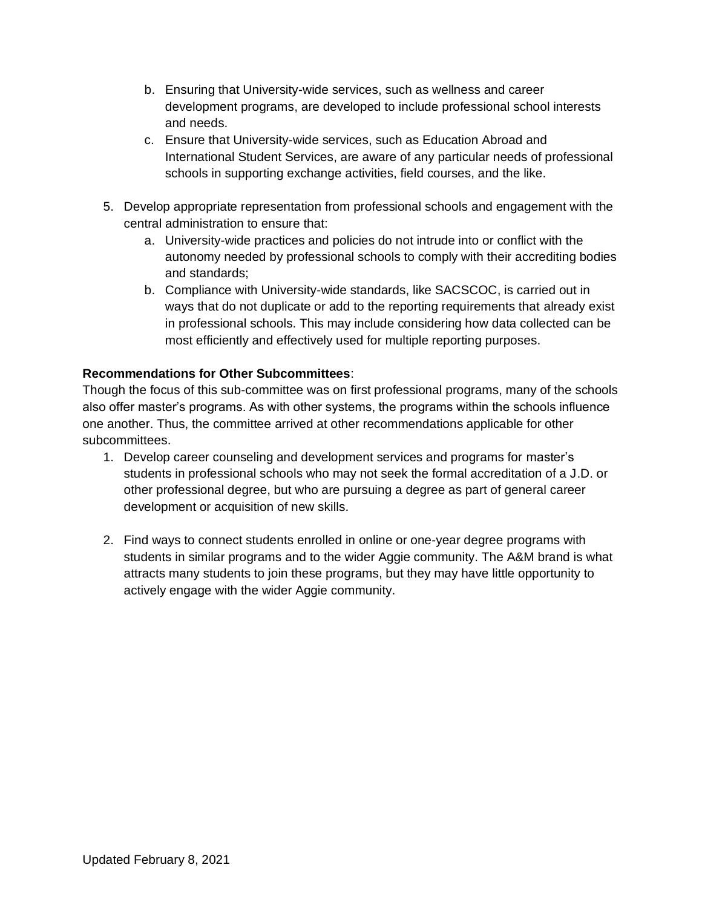- b. Ensuring that University-wide services, such as wellness and career development programs, are developed to include professional school interests and needs.
- c. Ensure that University-wide services, such as Education Abroad and International Student Services, are aware of any particular needs of professional schools in supporting exchange activities, field courses, and the like.
- 5. Develop appropriate representation from professional schools and engagement with the central administration to ensure that:
	- a. University-wide practices and policies do not intrude into or conflict with the autonomy needed by professional schools to comply with their accrediting bodies and standards;
	- b. Compliance with University-wide standards, like SACSCOC, is carried out in ways that do not duplicate or add to the reporting requirements that already exist in professional schools. This may include considering how data collected can be most efficiently and effectively used for multiple reporting purposes.

# **Recommendations for Other Subcommittees**:

Though the focus of this sub-committee was on first professional programs, many of the schools also offer master's programs. As with other systems, the programs within the schools influence one another. Thus, the committee arrived at other recommendations applicable for other subcommittees.

- 1. Develop career counseling and development services and programs for master's students in professional schools who may not seek the formal accreditation of a J.D. or other professional degree, but who are pursuing a degree as part of general career development or acquisition of new skills.
- 2. Find ways to connect students enrolled in online or one-year degree programs with students in similar programs and to the wider Aggie community. The A&M brand is what attracts many students to join these programs, but they may have little opportunity to actively engage with the wider Aggie community.